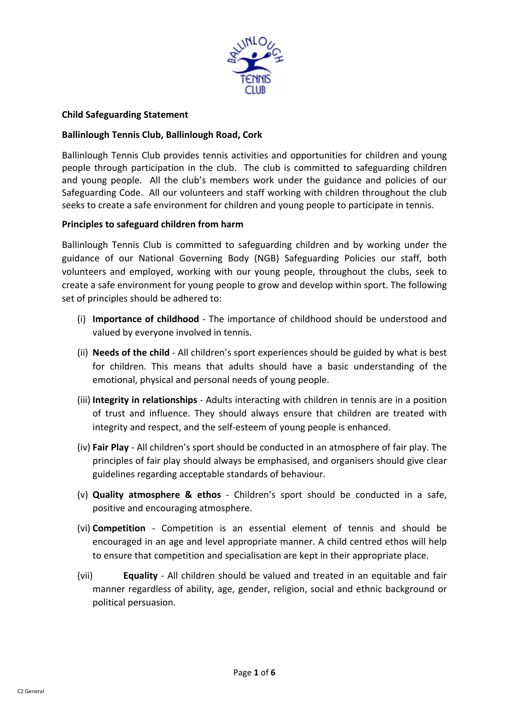

# **Child Safeguarding Statement**

# **Ballinlough Tennis Club, Ballinlough Road, Cork**

Ballinlough Tennis Club provides tennis activities and opportunities for children and young people through participation in the club. The club is committed to safeguarding children and young people. All the club's members work under the guidance and policies of our Safeguarding Code. All our volunteers and staff working with children throughout the club seeks to create a safe environment for children and young people to participate in tennis.

### **Principles to safeguard children from harm**

Ballinlough Tennis Club is committed to safeguarding children and by working under the guidance of our National Governing Body (NGB) Safeguarding Policies our staff, both volunteers and employed, working with our young people, throughout the clubs, seek to create a safe environment for young people to grow and develop within sport. The following set of principles should be adhered to:

- (i) **Importance of childhood** The importance of childhood should be understood and valued by everyone involved in tennis.
- (ii) **Needs of the child** All children's sport experiences should be guided by what is best for children. This means that adults should have a basic understanding of the emotional, physical and personal needs of young people.
- (iii) **Integrity in relationships** Adults interacting with children in tennis are in a position of trust and influence. They should always ensure that children are treated with integrity and respect, and the self-esteem of young people is enhanced.
- (iv) **Fair Play** All children's sport should be conducted in an atmosphere of fair play. The principles of fair play should always be emphasised, and organisers should give clear guidelines regarding acceptable standards of behaviour.
- (v) **Quality atmosphere & ethos** Children's sport should be conducted in a safe, positive and encouraging atmosphere.
- (vi) **Competition** Competition is an essential element of tennis and should be encouraged in an age and level appropriate manner. A child centred ethos will help to ensure that competition and specialisation are kept in their appropriate place.
- (vii) **Equality** All children should be valued and treated in an equitable and fair manner regardless of ability, age, gender, religion, social and ethnic background or political persuasion.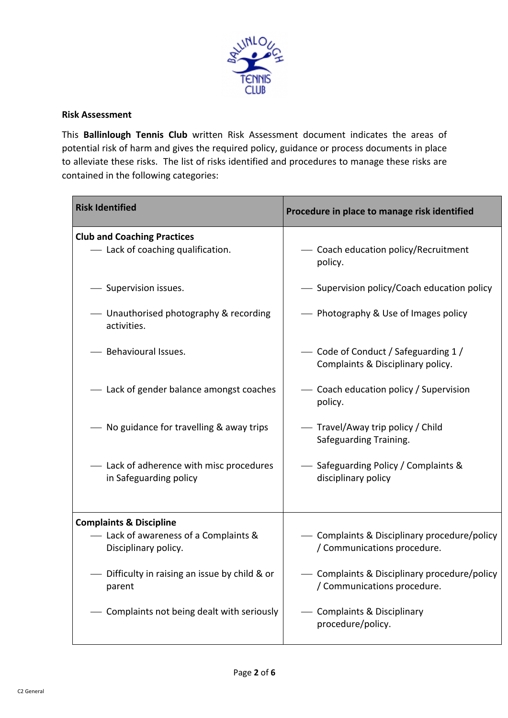

## **Risk Assessment**

This **Ballinlough Tennis Club** written Risk Assessment document indicates the areas of potential risk of harm and gives the required policy, guidance or process documents in place to alleviate these risks.The list of risks identified and procedures to manage these risks are contained in the following categories:

| <b>Risk Identified</b>                                                                              | Procedure in place to manage risk identified                              |
|-----------------------------------------------------------------------------------------------------|---------------------------------------------------------------------------|
| <b>Club and Coaching Practices</b>                                                                  |                                                                           |
| - Lack of coaching qualification.                                                                   | - Coach education policy/Recruitment<br>policy.                           |
| Supervision issues.                                                                                 | Supervision policy/Coach education policy                                 |
| - Unauthorised photography & recording<br>activities.                                               | Photography & Use of Images policy                                        |
| Behavioural Issues.                                                                                 | - Code of Conduct / Safeguarding 1 /<br>Complaints & Disciplinary policy. |
| - Lack of gender balance amongst coaches                                                            | Coach education policy / Supervision<br>policy.                           |
| No guidance for travelling & away trips                                                             | Travel/Away trip policy / Child<br>Safeguarding Training.                 |
| Lack of adherence with misc procedures<br>in Safeguarding policy                                    | Safeguarding Policy / Complaints &<br>disciplinary policy                 |
|                                                                                                     |                                                                           |
| <b>Complaints &amp; Discipline</b><br>- Lack of awareness of a Complaints &<br>Disciplinary policy. | Complaints & Disciplinary procedure/policy<br>/ Communications procedure. |
| Difficulty in raising an issue by child & or<br>parent                                              | Complaints & Disciplinary procedure/policy<br>/ Communications procedure. |
| Complaints not being dealt with seriously                                                           | <b>Complaints &amp; Disciplinary</b><br>procedure/policy.                 |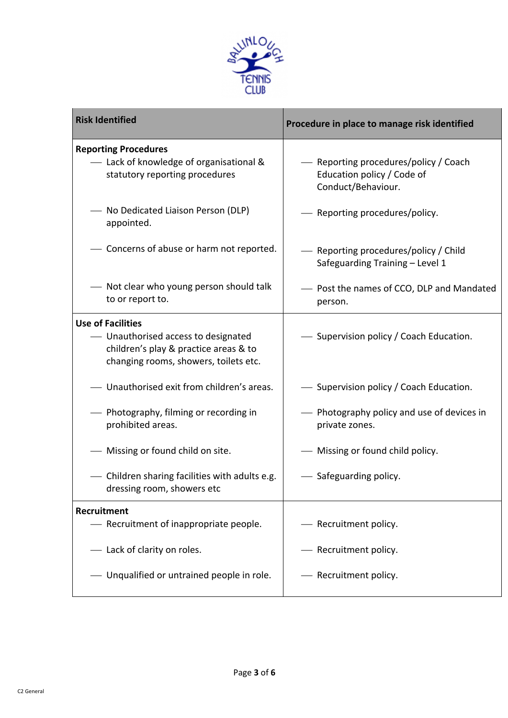

| <b>Risk Identified</b>                                                                                                                            | Procedure in place to manage risk identified                                              |
|---------------------------------------------------------------------------------------------------------------------------------------------------|-------------------------------------------------------------------------------------------|
| <b>Reporting Procedures</b><br>- Lack of knowledge of organisational &<br>statutory reporting procedures                                          | - Reporting procedures/policy / Coach<br>Education policy / Code of<br>Conduct/Behaviour. |
| - No Dedicated Liaison Person (DLP)<br>appointed.                                                                                                 | Reporting procedures/policy.                                                              |
| - Concerns of abuse or harm not reported.                                                                                                         | - Reporting procedures/policy / Child<br>Safeguarding Training - Level 1                  |
| - Not clear who young person should talk<br>to or report to.                                                                                      | - Post the names of CCO, DLP and Mandated<br>person.                                      |
| <b>Use of Facilities</b><br>- Unauthorised access to designated<br>children's play & practice areas & to<br>changing rooms, showers, toilets etc. | - Supervision policy / Coach Education.                                                   |
| - Unauthorised exit from children's areas.                                                                                                        | - Supervision policy / Coach Education.                                                   |
| - Photography, filming or recording in<br>prohibited areas.                                                                                       | - Photography policy and use of devices in<br>private zones.                              |
| - Missing or found child on site.                                                                                                                 | - Missing or found child policy.                                                          |
| - Children sharing facilities with adults e.g.<br>dressing room, showers etc                                                                      | Safeguarding policy.                                                                      |
| Recruitment                                                                                                                                       |                                                                                           |
| - Recruitment of inappropriate people.                                                                                                            | - Recruitment policy.                                                                     |
| - Lack of clarity on roles.                                                                                                                       | - Recruitment policy.                                                                     |
| Unqualified or untrained people in role.                                                                                                          | - Recruitment policy.                                                                     |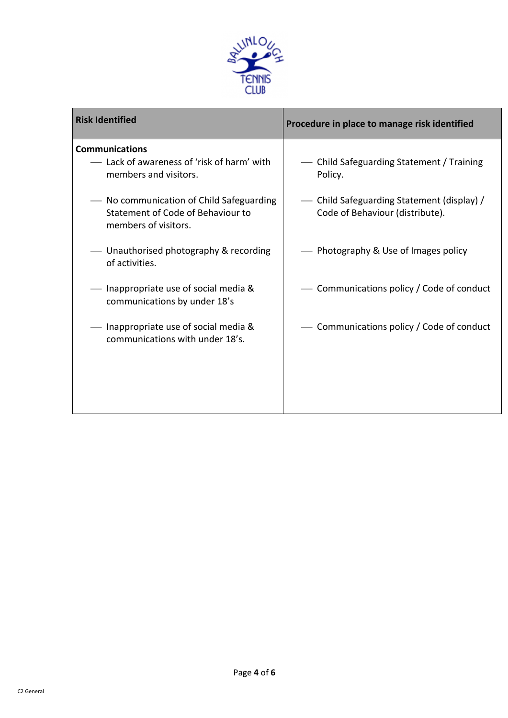

| <b>Risk Identified</b>                                                                                | Procedure in place to manage risk identified                                  |
|-------------------------------------------------------------------------------------------------------|-------------------------------------------------------------------------------|
| <b>Communications</b><br>- Lack of awareness of 'risk of harm' with<br>members and visitors.          | Child Safeguarding Statement / Training<br>Policy.                            |
| - No communication of Child Safeguarding<br>Statement of Code of Behaviour to<br>members of visitors. | - Child Safeguarding Statement (display) /<br>Code of Behaviour (distribute). |
| — Unauthorised photography & recording<br>of activities.                                              | Photography & Use of Images policy                                            |
| - Inappropriate use of social media &<br>communications by under 18's                                 | Communications policy / Code of conduct                                       |
| - Inappropriate use of social media &<br>communications with under 18's.                              | Communications policy / Code of conduct                                       |
|                                                                                                       |                                                                               |
|                                                                                                       |                                                                               |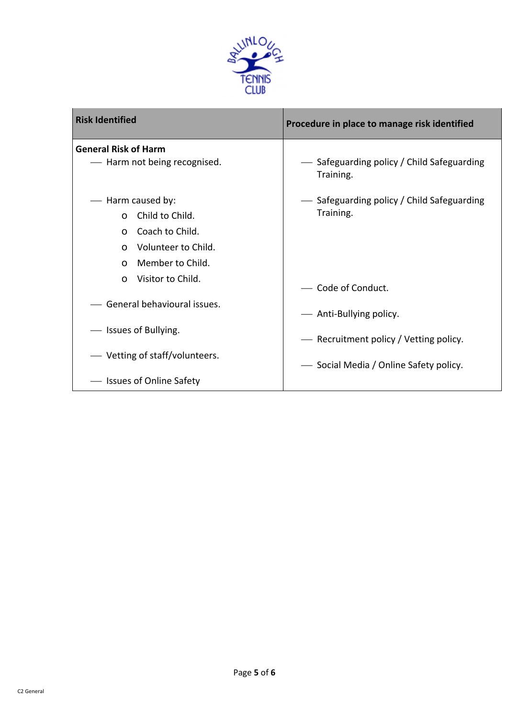

| <b>Risk Identified</b>                                                                                                                                                              | Procedure in place to manage risk identified                                     |
|-------------------------------------------------------------------------------------------------------------------------------------------------------------------------------------|----------------------------------------------------------------------------------|
| <b>General Risk of Harm</b><br>- Harm not being recognised.                                                                                                                         | — Safeguarding policy / Child Safeguarding<br>Training.                          |
| - Harm caused by:<br>Child to Child.<br>$\Omega$<br>Coach to Child.<br>$\Omega$<br>Volunteer to Child.<br>$\Omega$<br>Member to Child.<br>$\Omega$<br>Visitor to Child.<br>$\Omega$ | — Safeguarding policy / Child Safeguarding<br>Training.<br>- Code of Conduct.    |
| - General behavioural issues.                                                                                                                                                       | - Anti-Bullying policy.                                                          |
| - Issues of Bullying.<br>— Vetting of staff/volunteers.                                                                                                                             | - Recruitment policy / Vetting policy.<br>- Social Media / Online Safety policy. |
| - Issues of Online Safety                                                                                                                                                           |                                                                                  |